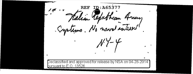ID:A653 REF Walian Republican Aring Cystems. No naval interest!  $NY-Y$ Declassified and approved for release by NSA on 04-28-2014 bursuant to E.O. 13526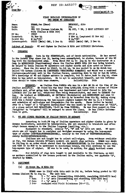Copy 'No:

**REF ID: A65377** 

CSDIC(MAIN)/Y 19.

**THE SECRET** 

### FIRST DETAILED INTERROGATION OF TWO ENEMY WT OFERATORS

HOMME, Jan (Hans) BEDESCHI. Aldo Name: Pte Rank: Cp1 DVK 183 (German Liaison HQ HQ COY, 1 BN, 3 REGT LITTORIO DIV **Unit:** with Italian M ROSA Div)  $FP$  No: 28591 87137 A 9 Nov  $44$  (captured 22 Nov  $44$ ) Deserted:  $24$  Nov  $44$ м 44/1957 М 44/1961 Secret No: Interrogated: CSDIC (Main) CMF.  $5$  Dec  $44$ CSDIC (Main) CMF, 5 Dec 44

Subject of Report: WT and Cipher in Italian M ROSA and LITTORIO Divisions.

#### 1. **PREAMELE**

HOMME: born in the SUDETENLAND, and of Czech nationality. He has served in the German Army since Jan 39, having been consoripted, he claims, because of his WT tng with the Czechoslovak Army. From about Feb 44 to Aug 44 he was instructor at a Camp in MUENSINGEN (Wuerttemberg) where the Italian MONTE ROSA Div was being trained. He helped to train italian WT operators and oipher clerks and also acted as interpreter. When the Div moved to ITALY, in Jul 44, he was posted to an HQ which was called 183 German Liaison HQ (DEUTSCHES VERBINDUNGS KOMMANDO) and which was a combined liaison-cum-advicory unit to the Italian forces, opera PW's knowledge of WT and Cipher matters is complete, but it dates back to Aug 44, since when he has acted as interpreter. He is apt to contradict himself, and his information should be taken with some reserve. Reliability: Fair

**HEDEGCHI:** ax Italian from FAENZA who was in a Mot MG Bh at the time of the Italian Armistico. He found his way home from LJUBLJANA along with a column of fellow soldiers and, after going into hiding, was imprisoned and later forced to join the LITTORIO Div (in Mar 44), which was then being reconstituted, and sent to GERMANY for<br>tng. He trained at SENGELAGER, mr DETTMOLD (Westphalia) and MUENSINGEN and came to<br>ITALY at end Oct 44. 0n 9 Nov 44 he deserted from his with him a folder containing the box-square ciphers issued for Nov 44 (4 x 2 boxes) and schedules of call-signs and frequencies for the month. These latter he handed over to a "capo" of a "Brigatta Garibaldina" who was known by the cover-name of "CLIO", at a place called SAN SEBASTIANO, 15-20 km from TORTONA. He was then passed on from "brigatta" to "brigatta" till he managed to cross the lines. He has little information to give. Reliability: Fair

#### WT AND CIPHER TRAINING OF ITALIAN TROOPS IN GERMANY  $2.$

According to both PW tng of Italian operators and cipher clerks is given by German instructors, assisted by interpreters, who are expected to translate and often

adapt German examples to the Italian language (spelling, etc.).<br>Equipment is standard, usually "b", "d" and "g" sets are used. WT operators are all taught how to encipher and decipher messages by using the box-square type of cipher (DOPPELKASTENSCHLUESSEL), usually in the form of TRUPPENSCHLUESSEL. rarely NACHRICHTENSCHLUESSEL.

Italians are not taught how to select call-signs. From evidence available so far, the German Liaison Officers control all secret sigs matters. HOMAE was shown in Jul/Aug 44 an order which stated that the RASTERSCHLUESSEL is for German units only, and that it is NOT to be mentioned to non-German troops, who will continue to use the box-square type of oipher. RT was to be used, in action, for short tactical comms only.

For details of sigs data taught to and available to the Italians, as well as matters controlled by the German personnel in the Italian units, see Appendix "A", drafted by HOMME.

#### 3. EQUIPMENT

#### $(a)$ 23 Recoe Bn, M ROSA Div

HOMME came to HTALY with this unit in Jul 44, before being posted to 183 German Liaison HQ in Aug 44. The unit had:<br>
HQ:  $2 -$  "b" sets (transmitting 2000-5000, receiving 2000-6670 kos)<br>
1 Sqn:  $2 -$  "g" sets (transmitting and receiving 2500-3500 kos)

 $\mathbf{r}$ 

 $\mathbf{r}$ 

 $\mathbf{r}$ 

 $n \rightarrow$ 

 $\pmb{\eta}$ 

 $2 - \frac{m}{3}$  sots  $\langle$ 2 Sqn:

equipped with Field Telephones (FF-973). 3 San•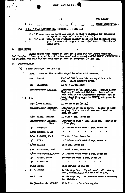REF ID:A6537

### $-2-$

amorig Coys.

TOP SEGRET

15 **CSDIC(MAIN)** وسأومي المنازرة ة عندلا المستحد  $\ddot{\bullet}$  =  $\ddot{\bullet}$ 1 Bn, 3 Regt LITTORIO Div (BEEESCHI - 9 Nov 44)  $(b)$ 

2 - "d" sets (one at Bn Hi) and one at Bn Cmdr<sup>+</sup>s disposal for allotment to Coy which required it most in action). 6 - "b" sets (used by the Italians chiefly as RT set and therefore only good for comns at ranges of max 1.5-2 kms). Distributed

**CODE-NAMES** 4.

HOMME stated that before he left the M ROSA Div the German personnel had thought of drawing up a list of "code-names" and expressions ("TARNTAFEL AUSERUECKE") in Italian, but this had not been done at date of desertion (24 Nov 44).

 $5<sub>1</sub>$ **PERSONALITIES** 

止

M ROSA Division (mid Nov 44)  $(a)$ 

> Note: Some of the details should be taken with reserve.

| PICKER<br>Gon.                                   | Head of 183 German Liaison HQ with M ROSA<br>Holds Knight's Cross.<br>Div.                                                                                                                        |
|--------------------------------------------------|---------------------------------------------------------------------------------------------------------------------------------------------------------------------------------------------------|
| <b>Col</b><br><b>REITINGER</b>                   | LO to 1 ALPINI Regt                                                                                                                                                                               |
| Sonderfuehrer SCHLECEL<br>$2.2 - 2$<br>$\bullet$ | Interpreter to Col RETTINGER.<br><b>Speaks fluent</b><br>English, French and Italian. Reported to<br>have been in the "Diplomatic Service" and to<br>have lived five years in LONDON and three in |
| Capt (Cav) ALBERTI                               | LO to Recce Bn $(at HQ)$                                                                                                                                                                          |

Sonderfuehrer RUECKERT. Interpreter at Recce Bn HQ. Doctor of philosophy; Dominican monk who was forced to Alois join the Army.

LO with 1 Sqn, Recce Bn

Sonderfuchrer BESTIAN. Interpreter with 1 Sqn, Recce Bn. Doctor of philosophy.

On liaison staff with 1 Sqn, Recce Bn

 $\blacksquare$ 

 $\mathbf{a}$  $\blacksquare$ L/Cpl KORTUS, Josef

Hans

2/Lt RAIMANN, Kurt LO with 2 Sqn, Recce Bn

On liaison staff with 2 Sqn, Recce Bn

 $\mathbf{r}$ 

In 2 Sqn, Recoe Bn

 $\mathbf{r}$ 

W.O. RAININGER, Karl LO with 3 Sqn, Recoe Bn

L/Cpl SCHLAGBAUER, Gustav On liaison staff with 3 Sqn, Recoe Bn

Sigs Officer at Div HQ

HERKO, Franz Interpreter with 3 Sqn. Recce Bn

Cpl **EISENKOPF** 

2/Lt ELSER, Richard

TREYSLER

**KIRCH** 

L/Cpl MAURER

Col

**Cpl** 

**Cpl** 

Lieut BORAK

Li Dr APPUN

WO 1 KERN

In Div Sige Bn. Signed nearly all orders, eto., though BORAK was said to be i/c.

Ħ.

Ħ

n

In Div Sigs Bn. An Austrian with a loathing for Italians.

**WO (Wachtmeister)ROESCH** With Div. A Bavarian regular.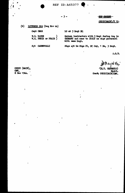**REF ID:A65377** 

# $-3 -$

TOP SHOREST

CSDIC(MAIN)/Y 19.

 $(b)$ LITTORIO Div (beg Nov 44)

Capt OMAR

 $W_0O_0$ . RADDE ( $W_0O_0$ ) PRAIS (

Sjt CARNEVALLI

LO at 3 Regt HQ

German instructors with 3 Regt during the in GERMANY and came to ITALY as sigs personnel with same Regt.

Sigs ajt in Sigs Pl, HO Coy, 1 Bn, 3 Regt.

 $A, G, B$ .

Ń

(H.T. SHERGOLD) Major. Comdz CSDIC(MAIN)CMF.

CSDIC (MAIN). CMP,<br>8 Dec 1944.

 $\overline{\mathbf{I}}$ 

 $\angle$  2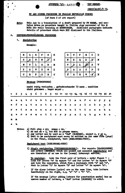

TOP BRORES

CSDIC(MAIN)/Y 19.

### WI AND CIPRER PROCEDURE IN ITALIAN REPUBLICAN FORCES

# (of Para 2 of att report)

This App is a translation of a draft prepared by PW HOMAE, and con-Note: tains notes on procedure taught to Italian sigs personnel of the M ROSA Div while training at MUENSINGEN. Sidelined paragraphs indicate details of procedure which were NOT disclosed to the Italians.

#### DOPPEIKASTENSCHLUESSEL PROCEDURE Λ,

1. Enciphering

**Example:** 

| Ħ | Q     | K | P                  | D | Ħ |  |  |  |  |
|---|-------|---|--------------------|---|---|--|--|--|--|
| S | کھیے، | Τ | N                  |   | S |  |  |  |  |
| N | U     | L | G                  | в | N |  |  |  |  |
| χ | Z     | Y | $\pmb{\mathbf{T}}$ | W | χ |  |  |  |  |
| Q | R     | Ŷ | $\frac{1}{2}$      | E | C |  |  |  |  |

|   |    | д |   |              |   |
|---|----|---|---|--------------|---|
| D | T  | ۴ | M | C            | D |
| N | K  | Q | X | $\mathbf{r}$ | N |
| V | L) | Ŀ |   | S            | Y |
| ۵ | G  | Z | Y | P            | U |
| B | R  | Ħ | ٧ |              | В |

## Message (FUNKSPRUCH)

nacht ruhig verlaufen . gefechtsstaerke 73 mann . munition nicht gekommen. hager major

|  |  |  |  |  |  |  |  |  | 1 2 3 4 5 6 7 8 9 10 11 12 13 14 15 16 17 18 19 20 21 |  |
|--|--|--|--|--|--|--|--|--|-------------------------------------------------------|--|
|  |  |  |  |  |  |  |  |  | naqtruhigverlaufenyyg                                 |  |
|  |  |  |  |  |  |  |  |  | e feqt sstaer kexsiebend                              |  |
|  |  |  |  |  |  |  |  |  | reixmannyy munitionxha                                |  |
|  |  |  |  |  |  |  |  |  | gers s a a i i ory y n i q t g e k o                  |  |

**Notes:** 

- 
- a) Full stop = yy; comme = zz.<br>b) ch and ck = q, but NOT in proper names.<br>c) Any letter can be used as a "dud" (BLENDER), except x, y or z.
- d) Text to be enciphered must never be written on the same form (page) as the final, enciphered, text (SCHLUESSEL-TEXT).

Enciphered text (SCHLUBSSEI-TEXT)

1) Single enciphering (TRUPERNSCHLUESSEL): for reports (NACHRICHTEN) and orders (REFERLE) which are passed and executed immediately and are therefore of no use to the (enemy) intercept service.

take the first pair of letters - under figure 1 -**To encipher:** look for letter "n" in square "A" and for letter "e" in square "B" and take the opposites, which form a rectangle with "n" and "e", that is letter "1" in square "B" and letter "o" in square "A",

If the clear letters (pairs) are on the same line, take letters immediately on the right, e.g. "e" "e" = "b" "o".

If the message (after adding letters for punctuation marks) has an uneven number of letters, a "dud" letter (BLENDER) is added.

ð.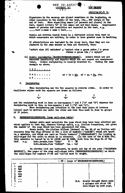

TOP SECRET

### $CSDIC(MLIN)/Y$  19.

Signatures in the message are placed sometimes at the beginning, on other occasions in the middle of the text, etc., NOT always at the end of text. When signalling names (of persons and places) in the text, insert letters "x" if the names are not well known. Complicated names of persons and localities are repeated in the text, e.g.  $...,...$ text x, name x name x text,  $...,$ 

Vowels are written inside boxes in a different colour from that in which consonants are written, in order to have greater ease in handling.

If abbreviations are included in the clear text, then they are enoiphered in the same manner as they are dictated, thus:

"sofort eine AVI schicken" m "sofort eine x gross anton / x gross viktor x grosz ida / x sqiqen"

ii) Double enciphering (NACHRICHTENSCHLUESSEL): Orders which are not executed immediately and reports which are not urgent are enoiphered twice. Double enciphering is usually resorted to. Taking the same example as above:

123. . . . . . . naq......

 $ne = io = kby$  af = qq = fa, oto. e f . . . . . . .

2. Deciphering

When deciphering use the two squares in reverse order, In order to facilitate eipher work the squares are drawn as follows:

| 1   |     | Ъ             |
|-----|-----|---------------|
| "A" | "B" | $\frac{1}{4}$ |

and the enciphering work is done on box-squares 1 and 2 (" $\Lambda$ " and "B") whereas the deciphering work is done on box-squares 2 and  $3$  ("B" and "A").

When deciphering pay attention to the fact that pairs of letters (clear) must be written one under the other and that this must be done in groups of 21 pairs.

HEERESRUFZEICHENTAFEL (Army call-sign table) B.

German units must calculate the page which they have been allotted and which applies to that day, whereas foreign units, e.g. Italian formations, are given the number of the page which has been calculated for them.

Every month, the Liaison Officer (German) at the HQ of an Italian unit receives from the Sigs Officer at Div a list of numbers ("ZAHLEN") which are typed on a schedule, and which are used as "basic bumbers" ("GRUNDZAHLEN") for looking up<br>call-signs for the units to which he is attached. (In the case of the MROSA Div,<br>this schedule is issued by It Dr APPUN and WO KERN, both Rufz.Grundz.fuer "GUSTAV" 144 - 148

On another list are indicated, by month and day of the year ("KALENDER-MAESSIG"), the pages of the Army call-signs table (HEERESRUFZEICHENTAFEL) on which the call-signs for numbers 21-26 and 144-143 must be sought.

|   |                                           |  | - 58 - (page of HEERESRUFZEICHENTAFEL)                                                |
|---|-------------------------------------------|--|---------------------------------------------------------------------------------------|
| o | xd5<br>5gi<br>820<br>suq<br>akr           |  |                                                                                       |
|   | $\bullet\bullet\bullet$<br>0 <sub>0</sub> |  | N.B. Source thought there were<br>4 columns and about 180<br>call-signs on each page. |

ş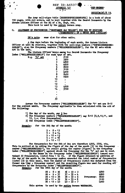

TOP SECRET

OSDIC(MAIN)/Y 19.

The Army call-signs table (HEERESRUFZEICHENTAFEL) is a book of about 150 pages, with red covers, and is kept together with the Secret Documents by the German Liaison Officer at the HQ of a Bn, Regt, etc. This book is used by the entire German Army.

#### ALLOTMENT OF FREQUENCIES ("BESTIMMEN der WELLEN") FOR THE WT STATIONS  $\mathbf{C}_{\bullet}$ ("FUNKTRUPPS") OF A RECOE UNIT (ITALIAN)

same also for other units. PW's note;

A few days before the beginning of each month, the German Liaison<br>Officer at unit Hi receives, together with the call-sign numbers ("RUFZEICHENGRUND-<br>ZAHLEN"), also the frequency numbers ("WELLENGRUNDZAHLEN"), for the WT s

The Liaison Officer keeps among his Secret Documents the Frequency Index ("WELLENVERZEICHNIS")  $E.g.$  " $h$ " set

|   | TOT | each<br>type | or   | 86 T |
|---|-----|--------------|------|------|
| į |     | 1            | 2100 |      |
|   |     |              | 3500 |      |
|   |     |              | 4800 |      |
|   |     |              | 4800 |      |
|   |     |              | 2600 |      |
|   |     |              | 3100 |      |
|   |     | 23456789     | 4900 |      |
|   |     |              |      |      |
|   |     |              | 2400 |      |
|   |     |              | 2500 |      |
|   |     | 10           |      |      |
|   |     | 11           |      |      |
|   |     | 12           |      |      |
|   |     | 13           | 4200 |      |
|   |     | 14           | 3700 |      |
|   |     |              |      |      |
| ١ |     |              |      |      |
|   |     |              |      |      |
|   |     | 33           |      |      |
|   |     |              |      |      |

Assume the Frequency numbers ("WELLENGRUNDZAHLEN") for "b" set are 8-12 for the current munth, The frequency applicable is then calculated with the aid of the following:

- 
- 1) The day of the month, say 5 Dec<br>2) The frequency numbers ("WELLENGRUNDZAHLEN") say 8-12 (8,9,10,11, and
- 12, i.e. five frequencies).
- 3) The frequency index ("WELLENVERZEICHNIS").

**Example:** for the 5th day of the month:

| 5 + |             | 8 = 13 |
|-----|-------------|--------|
|     | 5 + 9 = 14  |        |
|     | 5 + 10 = 15 |        |
|     | 5 + 11 = 16 |        |
|     | 5 + 12 = 17 |        |

The frequencies for the 5th of Dec are therefore 4200, 3700, etc. This is arrived at by adding the figure of the day of the month  $(5)$  to the frequency number ("WELLENGRUNDZAHL"), the result giving the number (figure) in the frequency index ("WELLENGRUNDZAHL") against which the frequency for the "b" set can be read.

In the Recoe Bn the frequency index ("WEILENVERZEIGINIS") issued contained 33 frequencies, listed from 1 to 33. If the figure obtained by addition of<br>the day of the month to the frequency number exceeded the total number of frequencies<br>listed (33 in this case), then the number of frequenci

Example: for the 28th day of the month;

| $28 + 8 = 36$  |  |  | $36 - 33 = 3$ |                   | 4800 |
|----------------|--|--|---------------|-------------------|------|
| $28 + 9 = 37$  |  |  | $37 - 33 = 4$ |                   | 4800 |
| $28 + 10 = 38$ |  |  | $38 - 33 = 5$ | <b>Frequency:</b> | 2600 |
| $28 + 11 = 39$ |  |  | $39 - 33 = 6$ |                   | 3100 |
| $28 + 12 = 40$ |  |  | $40 - 33 = 7$ |                   | 4900 |

This system is used by the entire German WEHRMACHT.